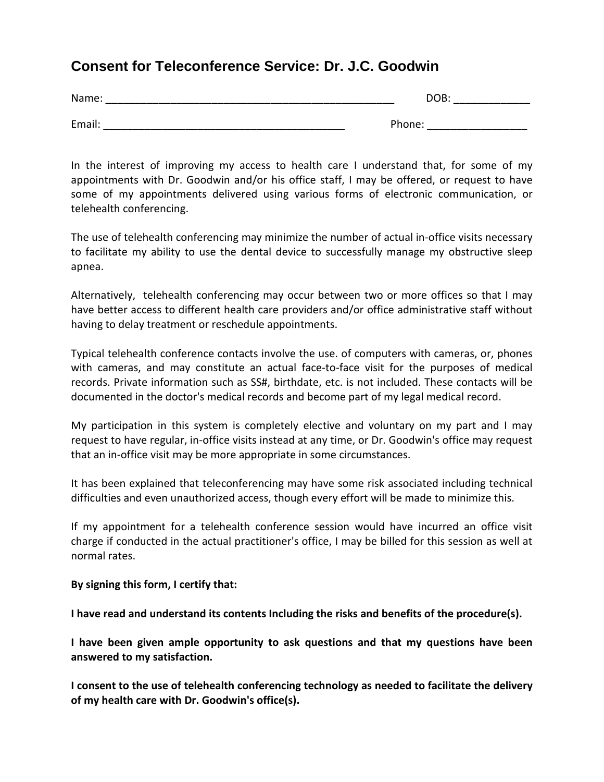## **Consent for Teleconference Service: Dr. J.C. Goodwin**

| Name:  | DOB:   |
|--------|--------|
|        |        |
| Email: | Phone: |

In the interest of improving my access to health care I understand that, for some of my appointments with Dr. Goodwin and/or his office staff, I may be offered, or request to have some of my appointments delivered using various forms of electronic communication, or telehealth conferencing.

The use of telehealth conferencing may minimize the number of actual in-office visits necessary to facilitate my ability to use the dental device to successfully manage my obstructive sleep apnea.

Alternatively, telehealth conferencing may occur between two or more offices so that I may have better access to different health care providers and/or office administrative staff without having to delay treatment or reschedule appointments.

Typical telehealth conference contacts involve the use. of computers with cameras, or, phones with cameras, and may constitute an actual face-to-face visit for the purposes of medical records. Private information such as SS#, birthdate, etc. is not included. These contacts will be documented in the doctor's medical records and become part of my legal medical record.

My participation in this system is completely elective and voluntary on my part and I may request to have regular, in-office visits instead at any time, or Dr. Goodwin's office may request that an in-office visit may be more appropriate in some circumstances.

It has been explained that teleconferencing may have some risk associated including technical difficulties and even unauthorized access, though every effort will be made to minimize this.

If my appointment for a telehealth conference session would have incurred an office visit charge if conducted in the actual practitioner's office, I may be billed for this session as well at normal rates.

## **By signing this form, I certify that:**

**I have read and understand its contents Including the risks and benefits of the procedure(s).**

**I have been given ample opportunity to ask questions and that my questions have been answered to my satisfaction.**

**I consent to the use of telehealth conferencing technology as needed to facilitate the delivery of my health care with Dr. Goodwin's office(s).**